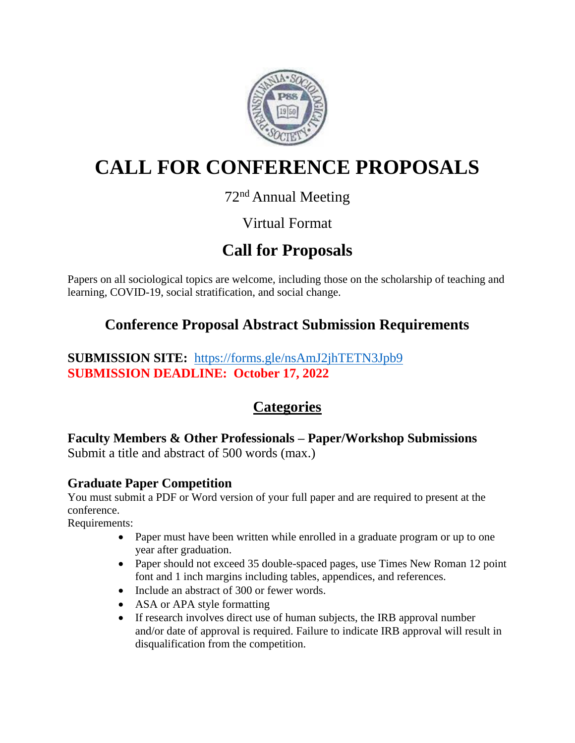

# **CALL FOR CONFERENCE PROPOSALS**

### 72<sup>nd</sup> Annual Meeting

## Virtual Format

## **Call for Proposals**

Papers on all sociological topics are welcome, including those on the scholarship of teaching and learning, COVID-19, social stratification, and social change.

## **Conference Proposal Abstract Submission Requirements**

#### **SUBMISSION SITE:** <https://forms.gle/nsAmJ2jhTETN3Jpb9> **SUBMISSION DEADLINE: October 17, 2022**

## **Categories**

**Faculty Members & Other Professionals – Paper/Workshop Submissions** Submit a title and abstract of 500 words (max.)

#### **Graduate Paper Competition**

You must submit a PDF or Word version of your full paper and are required to present at the conference.

Requirements:

- Paper must have been written while enrolled in a graduate program or up to one year after graduation.
- Paper should not exceed 35 double-spaced pages, use Times New Roman 12 point font and 1 inch margins including tables, appendices, and references.
- Include an abstract of 300 or fewer words.
- ASA or APA style formatting
- If research involves direct use of human subjects, the IRB approval number and/or date of approval is required. Failure to indicate IRB approval will result in disqualification from the competition.